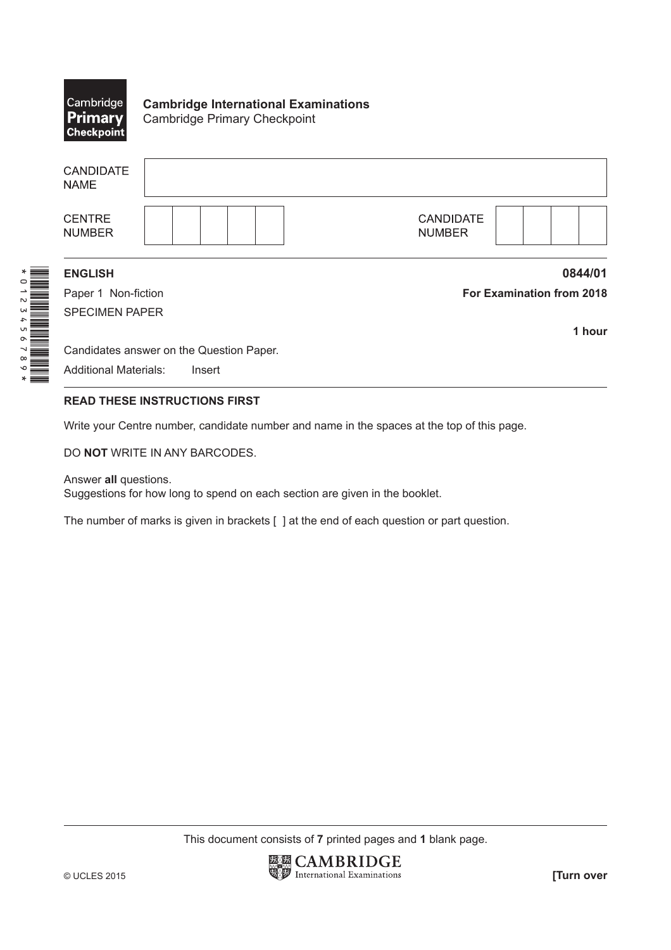|                                                                                                                                                                                                                                                                                                                                                                  | Cambridge<br><b>Primary</b><br><b>Checkpoint</b> | <b>Cambridge International Examinations</b><br><b>Cambridge Primary Checkpoint</b> |                                   |                           |  |
|------------------------------------------------------------------------------------------------------------------------------------------------------------------------------------------------------------------------------------------------------------------------------------------------------------------------------------------------------------------|--------------------------------------------------|------------------------------------------------------------------------------------|-----------------------------------|---------------------------|--|
|                                                                                                                                                                                                                                                                                                                                                                  | <b>CANDIDATE</b><br><b>NAME</b>                  |                                                                                    |                                   |                           |  |
|                                                                                                                                                                                                                                                                                                                                                                  | <b>CENTRE</b><br><b>NUMBER</b>                   |                                                                                    | <b>CANDIDATE</b><br><b>NUMBER</b> |                           |  |
| $\begin{picture}(20,20) \put(0,0){\line(1,0){10}} \put(15,0){\line(1,0){10}} \put(15,0){\line(1,0){10}} \put(15,0){\line(1,0){10}} \put(15,0){\line(1,0){10}} \put(15,0){\line(1,0){10}} \put(15,0){\line(1,0){10}} \put(15,0){\line(1,0){10}} \put(15,0){\line(1,0){10}} \put(15,0){\line(1,0){10}} \put(15,0){\line(1,0){10}} \put(15,0){\line(1$<br>$\circ =$ | <b>ENGLISH</b>                                   |                                                                                    |                                   | 0844/01                   |  |
|                                                                                                                                                                                                                                                                                                                                                                  | Paper 1 Non-fiction                              |                                                                                    |                                   | For Examination from 2018 |  |
|                                                                                                                                                                                                                                                                                                                                                                  | <b>SPECIMEN PAPER</b>                            |                                                                                    |                                   | 1 hour                    |  |
|                                                                                                                                                                                                                                                                                                                                                                  |                                                  | Candidates answer on the Question Paper.                                           |                                   |                           |  |
|                                                                                                                                                                                                                                                                                                                                                                  | <b>Additional Materials:</b>                     | Insert                                                                             |                                   |                           |  |

#### **READ THESE INSTRUCTIONS FIRST**

Write your Centre number, candidate number and name in the spaces at the top of this page.

DO **NOT** WRITE IN ANY BARCODES.

Answer **all** questions. Suggestions for how long to spend on each section are given in the booklet.

The number of marks is given in brackets [ ] at the end of each question or part question.

This document consists of **7** printed pages and **1** blank page.

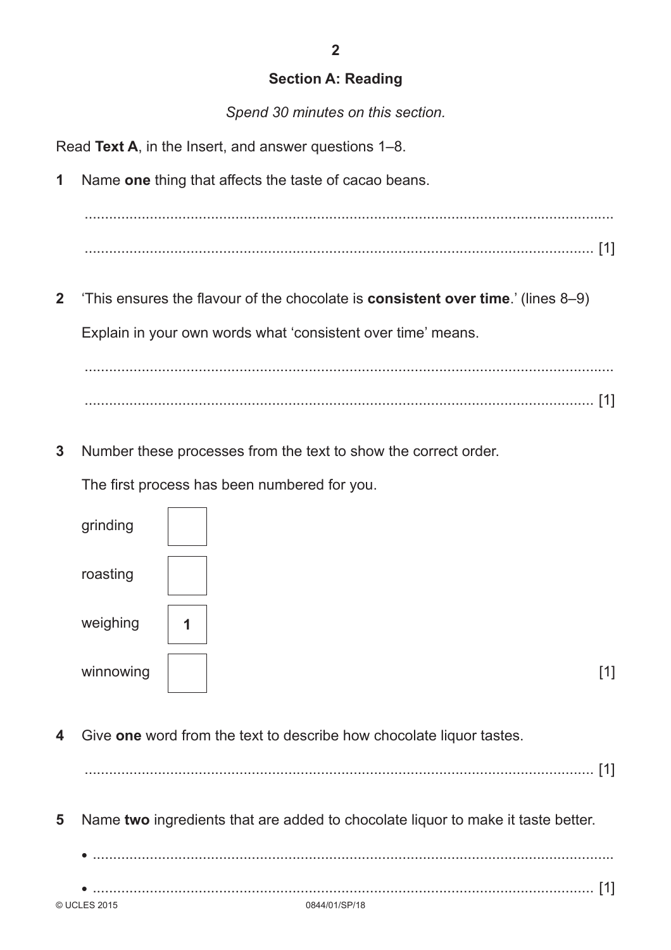# **Section A: Reading**

*Spend 30 minutes on this section.*

Read **Text A**, in the Insert, and answer questions 1–8.

**1** Name **one** thing that affects the taste of cacao beans.

 .................................................................................................................................. ............................................................................................................................. [1]

**2** 'This ensures the flavour of the chocolate is **consistent over time**.' (lines 8–9) Explain in your own words what 'consistent over time' means.

 .................................................................................................................................. ............................................................................................................................. [1]

**3** Number these processes from the text to show the correct order.

The first process has been numbered for you.



**4** Give **one** word from the text to describe how chocolate liquor tastes.

 ............................................................................................................................. [1] **5** Name **two** ingredients that are added to chocolate liquor to make it taste better. • ................................................................................................................................

| © UCLES 2015 | 0.844/01/3P/16 |  |
|--------------|----------------|--|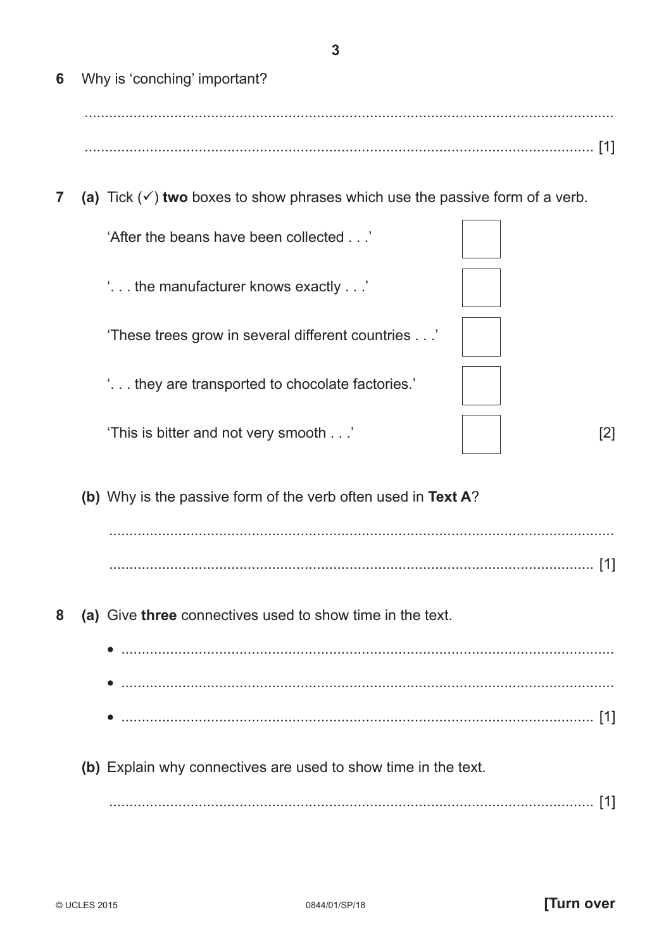| 6 Why is 'conching' important? |
|--------------------------------|
|                                |
|                                |

 $\overline{3}$ 

(a) Tick  $(\checkmark)$  two boxes to show phrases which use the passive form of a verb.  $\overline{7}$ 



(b) Why is the passive form of the verb often used in Text A?

(a) Give three connectives used to show time in the text. 8

(b) Explain why connectives are used to show time in the text.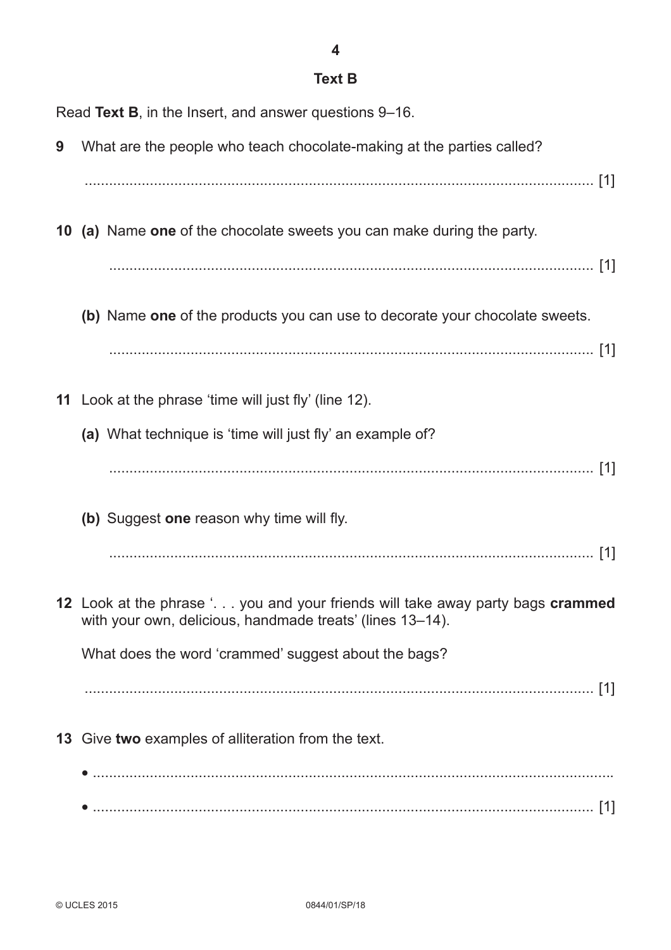# **Text B** Read **Text B**, in the Insert, and answer questions 9–16. **9** What are the people who teach chocolate-making at the parties called? ............................................................................................................................. [1] **10 (a)** Name **one** of the chocolate sweets you can make during the party. ....................................................................................................................... [1]  **(b)** Name **one** of the products you can use to decorate your chocolate sweets. ....................................................................................................................... [1] **11** Look at the phrase 'time will just fly' (line 12).  **(a)** What technique is 'time will just fly' an example of? ....................................................................................................................... [1]  **(b)** Suggest **one** reason why time will fly. ....................................................................................................................... [1] **12** Look at the phrase '. . . you and your friends will take away party bags **crammed** with your own, delicious, handmade treats' (lines 13–14). What does the word 'crammed' suggest about the bags? ............................................................................................................................. [1] **13** Give **two** examples of alliteration from the text. • ................................................................................................................................ • ........................................................................................................................... [1]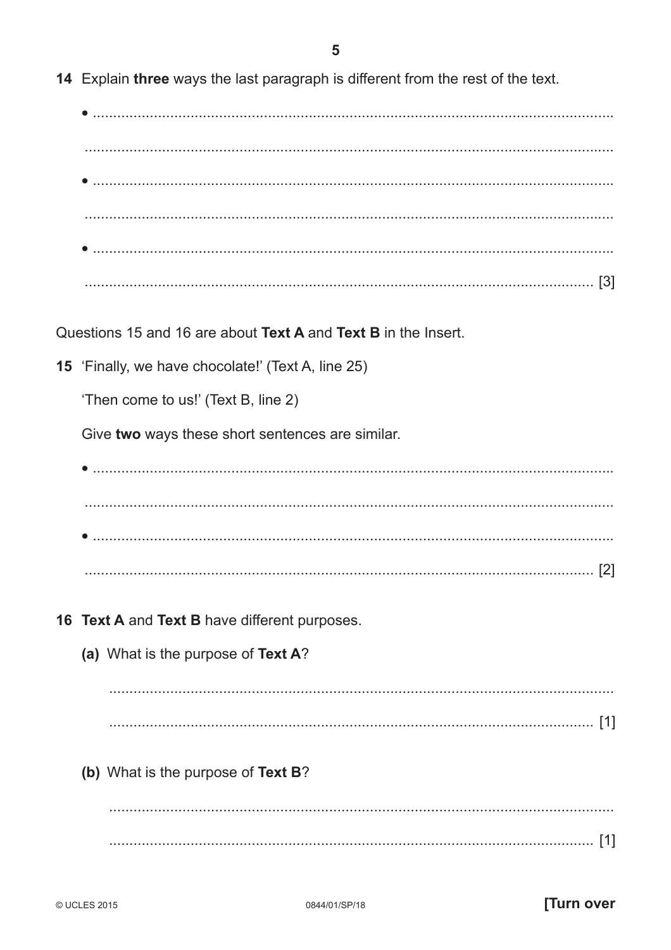5

14 Explain three ways the last paragraph is different from the rest of the text.

Questions 15 and 16 are about Text A and Text B in the Insert.

15 'Finally, we have chocolate!' (Text A, line 25)

'Then come to us!' (Text B, line 2)

Give two ways these short sentences are similar.

16 Text A and Text B have different purposes.

(a) What is the purpose of Text A?

(b) What is the purpose of Text B?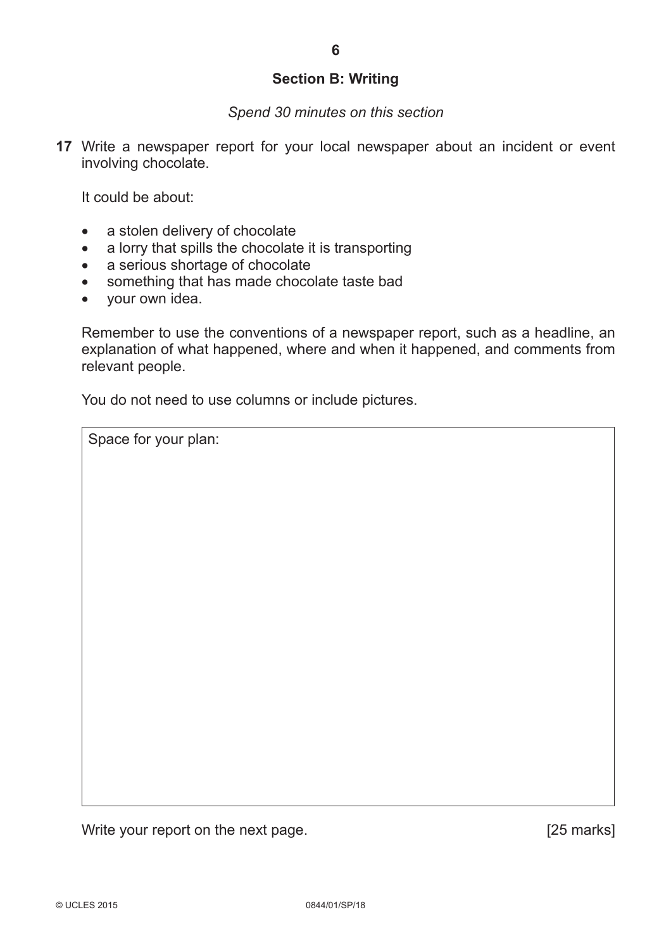## **Section B: Writing**

### *Spend 30 minutes on this section*

**17** Write a newspaper report for your local newspaper about an incident or event involving chocolate.

It could be about:

- a stolen delivery of chocolate
- a lorry that spills the chocolate it is transporting
- a serious shortage of chocolate
- something that has made chocolate taste bad
- your own idea.

Remember to use the conventions of a newspaper report, such as a headline, an explanation of what happened, where and when it happened, and comments from relevant people.

You do not need to use columns or include pictures.

Space for your plan:

Write your report on the next page. The same section of the set of the set of the set of the set of the set of the set of the set of the set of the set of the set of the set of the set of the set of the set of the set of t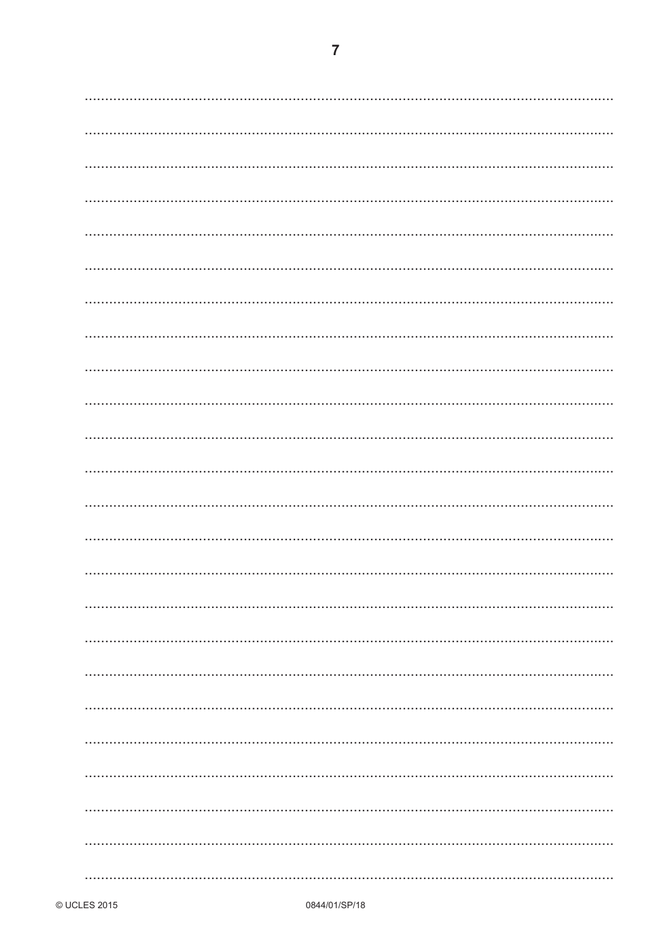$\overline{7}$